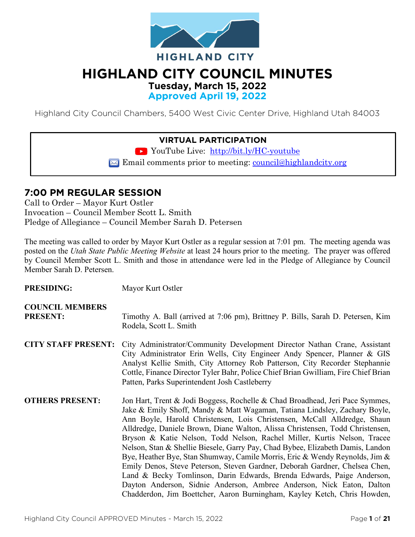

# **HIGHLAND CITY COUNCIL MINUTES**

**Tuesday, March 15, 2022**

**Approved April 19, 2022**

Highland City Council Chambers, 5400 West Civic Center Drive, Highland Utah 84003

#### **VIRTUAL PARTICIPATION**

YouTube Live: <http://bit.ly/HC-youtube>

 $\boxtimes$  Email comments prior to meeting: council@highlandcity.org

#### **7:00 PM REGULAR SESSION**

Call to Order – Mayor Kurt Ostler Invocation – Council Member Scott L. Smith Pledge of Allegiance – Council Member Sarah D. Petersen

The meeting was called to order by Mayor Kurt Ostler as a regular session at 7:01 pm. The meeting agenda was posted on the *Utah State Public Meeting Website* at least 24 hours prior to the meeting. The prayer was offered by Council Member Scott L. Smith and those in attendance were led in the Pledge of Allegiance by Council Member Sarah D. Petersen.

| <b>PRESIDING:</b>                         | Mayor Kurt Ostler                                                                                                                                                                                                                                                                                                                                                                                                                                                                                                                                                                                                                                                                                                                                                                                                                                                                  |
|-------------------------------------------|------------------------------------------------------------------------------------------------------------------------------------------------------------------------------------------------------------------------------------------------------------------------------------------------------------------------------------------------------------------------------------------------------------------------------------------------------------------------------------------------------------------------------------------------------------------------------------------------------------------------------------------------------------------------------------------------------------------------------------------------------------------------------------------------------------------------------------------------------------------------------------|
| <b>COUNCIL MEMBERS</b><br><b>PRESENT:</b> | Timothy A. Ball (arrived at 7:06 pm), Brittney P. Bills, Sarah D. Petersen, Kim<br>Rodela, Scott L. Smith                                                                                                                                                                                                                                                                                                                                                                                                                                                                                                                                                                                                                                                                                                                                                                          |
| <b>CITY STAFF PRESENT:</b>                | City Administrator/Community Development Director Nathan Crane, Assistant<br>City Administrator Erin Wells, City Engineer Andy Spencer, Planner & GIS<br>Analyst Kellie Smith, City Attorney Rob Patterson, City Recorder Stephannie<br>Cottle, Finance Director Tyler Bahr, Police Chief Brian Gwilliam, Fire Chief Brian<br>Patten, Parks Superintendent Josh Castleberry                                                                                                                                                                                                                                                                                                                                                                                                                                                                                                        |
| <b>OTHERS PRESENT:</b>                    | Jon Hart, Trent & Jodi Boggess, Rochelle & Chad Broadhead, Jeri Pace Symmes,<br>Jake & Emily Shoff, Mandy & Matt Wagaman, Tatiana Lindsley, Zachary Boyle,<br>Ann Boyle, Harold Christensen, Lois Christensen, McCall Alldredge, Shaun<br>Alldredge, Daniele Brown, Diane Walton, Alissa Christensen, Todd Christensen,<br>Bryson & Katie Nelson, Todd Nelson, Rachel Miller, Kurtis Nelson, Tracee<br>Nelson, Stan & Shellie Biesele, Garry Pay, Chad Bybee, Elizabeth Damis, Landon<br>Bye, Heather Bye, Stan Shumway, Camile Morris, Eric & Wendy Reynolds, Jim &<br>Emily Denos, Steve Peterson, Steven Gardner, Deborah Gardner, Chelsea Chen,<br>Land & Becky Tomlinson, Darin Edwards, Brenda Edwards, Paige Anderson,<br>Dayton Anderson, Sidnie Anderson, Ambree Anderson, Nick Eaton, Dalton<br>Chadderdon, Jim Boettcher, Aaron Burningham, Kayley Ketch, Chris Howden, |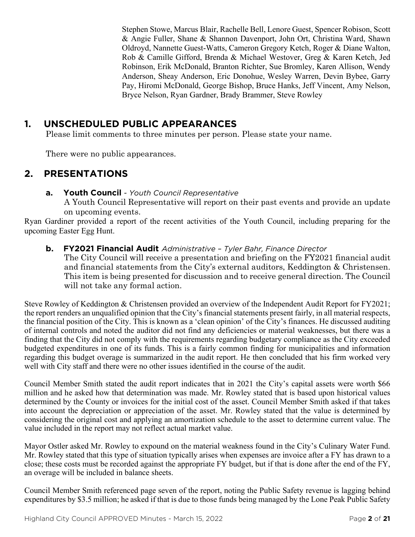Stephen Stowe, Marcus Blair, Rachelle Bell, Lenore Guest, Spencer Robison, Scott & Angie Fuller, Shane & Shannon Davenport, John Ort, Christina Ward, Shawn Oldroyd, Nannette Guest-Watts, Cameron Gregory Ketch, Roger & Diane Walton, Rob & Camille Gifford, Brenda & Michael Westover, Greg & Karen Ketch, Jed Robinson, Erik McDonald, Branton Richter, Sue Bromley, Karen Allison, Wendy Anderson, Sheay Anderson, Eric Donohue, Wesley Warren, Devin Bybee, Garry Pay, Hiromi McDonald, George Bishop, Bruce Hanks, Jeff Vincent, Amy Nelson, Bryce Nelson, Ryan Gardner, Brady Brammer, Steve Rowley

## **1. UNSCHEDULED PUBLIC APPEARANCES**

Please limit comments to three minutes per person. Please state your name.

There were no public appearances.

## **2. PRESENTATIONS**

#### **a. Youth Council** *- Youth Council Representative*

A Youth Council Representative will report on their past events and provide an update on upcoming events.

Ryan Gardiner provided a report of the recent activities of the Youth Council, including preparing for the upcoming Easter Egg Hunt.

#### **b. FY2021 Financial Audit** *Administrative – Tyler Bahr, Finance Director*

The City Council will receive a presentation and briefing on the FY2021 financial audit and financial statements from the City's external auditors, Keddington & Christensen. This item is being presented for discussion and to receive general direction. The Council will not take any formal action.

Steve Rowley of Keddington & Christensen provided an overview of the Independent Audit Report for FY2021; the report renders an unqualified opinion that the City's financial statements present fairly, in all material respects, the financial position of the City. This is known as a 'clean opinion' of the City's finances. He discussed auditing of internal controls and noted the auditor did not find any deficiencies or material weaknesses, but there was a finding that the City did not comply with the requirements regarding budgetary compliance as the City exceeded budgeted expenditures in one of its funds. This is a fairly common finding for municipalities and information regarding this budget overage is summarized in the audit report. He then concluded that his firm worked very well with City staff and there were no other issues identified in the course of the audit.

Council Member Smith stated the audit report indicates that in 2021 the City's capital assets were worth \$66 million and he asked how that determination was made. Mr. Rowley stated that is based upon historical values determined by the County or invoices for the initial cost of the asset. Council Member Smith asked if that takes into account the depreciation or appreciation of the asset. Mr. Rowley stated that the value is determined by considering the original cost and applying an amortization schedule to the asset to determine current value. The value included in the report may not reflect actual market value.

Mayor Ostler asked Mr. Rowley to expound on the material weakness found in the City's Culinary Water Fund. Mr. Rowley stated that this type of situation typically arises when expenses are invoice after a FY has drawn to a close; these costs must be recorded against the appropriate FY budget, but if that is done after the end of the FY, an overage will be included in balance sheets.

Council Member Smith referenced page seven of the report, noting the Public Safety revenue is lagging behind expenditures by \$3.5 million; he asked if that is due to those funds being managed by the Lone Peak Public Safety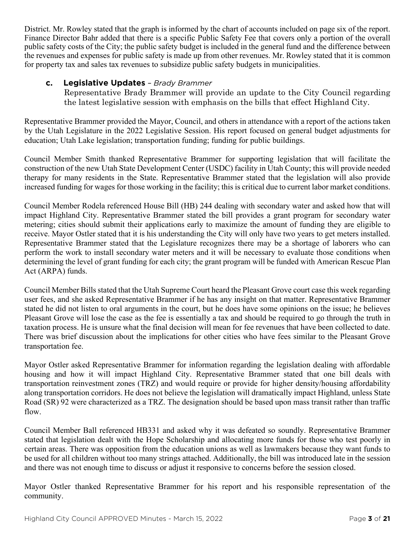District. Mr. Rowley stated that the graph is informed by the chart of accounts included on page six of the report. Finance Director Bahr added that there is a specific Public Safety Fee that covers only a portion of the overall public safety costs of the City; the public safety budget is included in the general fund and the difference between the revenues and expenses for public safety is made up from other revenues. Mr. Rowley stated that it is common for property tax and sales tax revenues to subsidize public safety budgets in municipalities.

#### **c. Legislative Updates** *– Brady Brammer*

Representative Brady Brammer will provide an update to the City Council regarding the latest legislative session with emphasis on the bills that effect Highland City.

Representative Brammer provided the Mayor, Council, and others in attendance with a report of the actions taken by the Utah Legislature in the 2022 Legislative Session. His report focused on general budget adjustments for education; Utah Lake legislation; transportation funding; funding for public buildings.

Council Member Smith thanked Representative Brammer for supporting legislation that will facilitate the construction of the new Utah State Development Center (USDC) facility in Utah County; this will provide needed therapy for many residents in the State. Representative Brammer stated that the legislation will also provide increased funding for wages for those working in the facility; this is critical due to current labor market conditions.

Council Member Rodela referenced House Bill (HB) 244 dealing with secondary water and asked how that will impact Highland City. Representative Brammer stated the bill provides a grant program for secondary water metering; cities should submit their applications early to maximize the amount of funding they are eligible to receive. Mayor Ostler stated that it is his understanding the City will only have two years to get meters installed. Representative Brammer stated that the Legislature recognizes there may be a shortage of laborers who can perform the work to install secondary water meters and it will be necessary to evaluate those conditions when determining the level of grant funding for each city; the grant program will be funded with American Rescue Plan Act (ARPA) funds.

Council Member Bills stated that the Utah Supreme Court heard the Pleasant Grove court case this week regarding user fees, and she asked Representative Brammer if he has any insight on that matter. Representative Brammer stated he did not listen to oral arguments in the court, but he does have some opinions on the issue; he believes Pleasant Grove will lose the case as the fee is essentially a tax and should be required to go through the truth in taxation process. He is unsure what the final decision will mean for fee revenues that have been collected to date. There was brief discussion about the implications for other cities who have fees similar to the Pleasant Grove transportation fee.

Mayor Ostler asked Representative Brammer for information regarding the legislation dealing with affordable housing and how it will impact Highland City. Representative Brammer stated that one bill deals with transportation reinvestment zones (TRZ) and would require or provide for higher density/housing affordability along transportation corridors. He does not believe the legislation will dramatically impact Highland, unless State Road (SR) 92 were characterized as a TRZ. The designation should be based upon mass transit rather than traffic flow.

Council Member Ball referenced HB331 and asked why it was defeated so soundly. Representative Brammer stated that legislation dealt with the Hope Scholarship and allocating more funds for those who test poorly in certain areas. There was opposition from the education unions as well as lawmakers because they want funds to be used for all children without too many strings attached. Additionally, the bill was introduced late in the session and there was not enough time to discuss or adjust it responsive to concerns before the session closed.

Mayor Ostler thanked Representative Brammer for his report and his responsible representation of the community.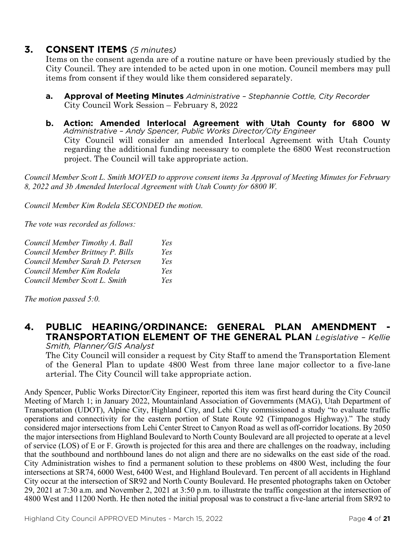#### **3. CONSENT ITEMS** *(5 minutes)*

Items on the consent agenda are of a routine nature or have been previously studied by the City Council. They are intended to be acted upon in one motion. Council members may pull items from consent if they would like them considered separately.

- **a. Approval of Meeting Minutes** *Administrative – Stephannie Cottle, City Recorder* City Council Work Session – February 8, 2022
- **b. Action: Amended Interlocal Agreement with Utah County for 6800 W** *Administrative – Andy Spencer, Public Works Director/City Engineer* City Council will consider an amended Interlocal Agreement with Utah County regarding the additional funding necessary to complete the 6800 West reconstruction project. The Council will take appropriate action.

*Council Member Scott L. Smith MOVED to approve consent items 3a Approval of Meeting Minutes for February 8, 2022 and 3b Amended Interlocal Agreement with Utah County for 6800 W.*

*Council Member Kim Rodela SECONDED the motion.*

*The vote was recorded as follows:*

| Council Member Timothy A. Ball   | Yes |
|----------------------------------|-----|
| Council Member Brittney P. Bills | Yes |
| Council Member Sarah D. Petersen | Yes |
| Council Member Kim Rodela        | Yes |
| Council Member Scott L. Smith    | Yes |

*The motion passed 5:0.* 

## **4. PUBLIC HEARING/ORDINANCE: GENERAL PLAN AMENDMENT - TRANSPORTATION ELEMENT OF THE GENERAL PLAN** *Legislative – Kellie*

*Smith, Planner/GIS Analyst*

The City Council will consider a request by City Staff to amend the Transportation Element of the General Plan to update 4800 West from three lane major collector to a five-lane arterial. The City Council will take appropriate action.

Andy Spencer, Public Works Director/City Engineer, reported this item was first heard during the City Council Meeting of March 1; in January 2022, Mountainland Association of Governments (MAG), Utah Department of Transportation (UDOT), Alpine City, Highland City, and Lehi City commissioned a study "to evaluate traffic operations and connectivity for the eastern portion of State Route 92 (Timpanogos Highway)." The study considered major intersections from Lehi Center Street to Canyon Road as well as off-corridor locations. By 2050 the major intersections from Highland Boulevard to North County Boulevard are all projected to operate at a level of service (LOS) of E or F. Growth is projected for this area and there are challenges on the roadway, including that the southbound and northbound lanes do not align and there are no sidewalks on the east side of the road. City Administration wishes to find a permanent solution to these problems on 4800 West, including the four intersections at SR74, 6000 West, 6400 West, and Highland Boulevard. Ten percent of all accidents in Highland City occur at the intersection of SR92 and North County Boulevard. He presented photographs taken on October 29, 2021 at 7:30 a.m. and November 2, 2021 at 3:50 p.m. to illustrate the traffic congestion at the intersection of 4800 West and 11200 North. He then noted the initial proposal was to construct a five-lane arterial from SR92 to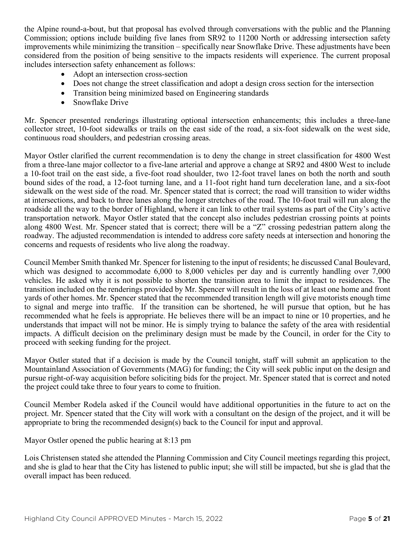the Alpine round-a-bout, but that proposal has evolved through conversations with the public and the Planning Commission; options include building five lanes from SR92 to 11200 North or addressing intersection safety improvements while minimizing the transition – specifically near Snowflake Drive. These adjustments have been considered from the position of being sensitive to the impacts residents will experience. The current proposal includes intersection safety enhancement as follows:

- Adopt an intersection cross-section
- Does not change the street classification and adopt a design cross section for the intersection
- Transition being minimized based on Engineering standards
- Snowflake Drive

Mr. Spencer presented renderings illustrating optional intersection enhancements; this includes a three-lane collector street, 10-foot sidewalks or trails on the east side of the road, a six-foot sidewalk on the west side, continuous road shoulders, and pedestrian crossing areas.

Mayor Ostler clarified the current recommendation is to deny the change in street classification for 4800 West from a three-lane major collector to a five-lane arterial and approve a change at SR92 and 4800 West to include a 10-foot trail on the east side, a five-foot road shoulder, two 12-foot travel lanes on both the north and south bound sides of the road, a 12-foot turning lane, and a 11-foot right hand turn deceleration lane, and a six-foot sidewalk on the west side of the road. Mr. Spencer stated that is correct; the road will transition to wider widths at intersections, and back to three lanes along the longer stretches of the road. The 10-foot trail will run along the roadside all the way to the border of Highland, where it can link to other trail systems as part of the City's active transportation network. Mayor Ostler stated that the concept also includes pedestrian crossing points at points along 4800 West. Mr. Spencer stated that is correct; there will be a "Z" crossing pedestrian pattern along the roadway. The adjusted recommendation is intended to address core safety needs at intersection and honoring the concerns and requests of residents who live along the roadway.

Council Member Smith thanked Mr. Spencer for listening to the input of residents; he discussed Canal Boulevard, which was designed to accommodate 6,000 to 8,000 vehicles per day and is currently handling over 7,000 vehicles. He asked why it is not possible to shorten the transition area to limit the impact to residences. The transition included on the renderings provided by Mr. Spencer will result in the loss of at least one home and front yards of other homes. Mr. Spencer stated that the recommended transition length will give motorists enough time to signal and merge into traffic. If the transition can be shortened, he will pursue that option, but he has recommended what he feels is appropriate. He believes there will be an impact to nine or 10 properties, and he understands that impact will not be minor. He is simply trying to balance the safety of the area with residential impacts. A difficult decision on the preliminary design must be made by the Council, in order for the City to proceed with seeking funding for the project.

Mayor Ostler stated that if a decision is made by the Council tonight, staff will submit an application to the Mountainland Association of Governments (MAG) for funding; the City will seek public input on the design and pursue right-of-way acquisition before soliciting bids for the project. Mr. Spencer stated that is correct and noted the project could take three to four years to come to fruition.

Council Member Rodela asked if the Council would have additional opportunities in the future to act on the project. Mr. Spencer stated that the City will work with a consultant on the design of the project, and it will be appropriate to bring the recommended design(s) back to the Council for input and approval.

Mayor Ostler opened the public hearing at 8:13 pm

Lois Christensen stated she attended the Planning Commission and City Council meetings regarding this project, and she is glad to hear that the City has listened to public input; she will still be impacted, but she is glad that the overall impact has been reduced.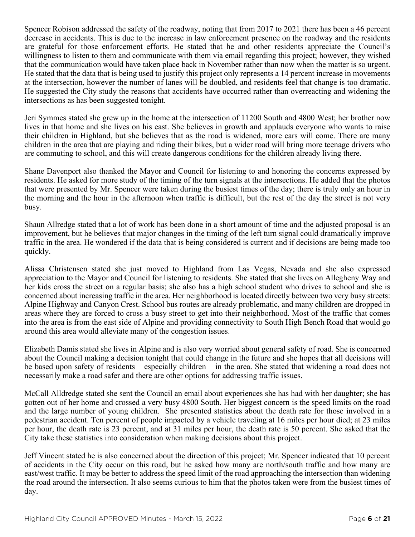Spencer Robison addressed the safety of the roadway, noting that from 2017 to 2021 there has been a 46 percent decrease in accidents. This is due to the increase in law enforcement presence on the roadway and the residents are grateful for those enforcement efforts. He stated that he and other residents appreciate the Council's willingness to listen to them and communicate with them via email regarding this project; however, they wished that the communication would have taken place back in November rather than now when the matter is so urgent. He stated that the data that is being used to justify this project only represents a 14 percent increase in movements at the intersection, however the number of lanes will be doubled, and residents feel that change is too dramatic. He suggested the City study the reasons that accidents have occurred rather than overreacting and widening the intersections as has been suggested tonight.

Jeri Symmes stated she grew up in the home at the intersection of 11200 South and 4800 West; her brother now lives in that home and she lives on his east. She believes in growth and applauds everyone who wants to raise their children in Highland, but she believes that as the road is widened, more cars will come. There are many children in the area that are playing and riding their bikes, but a wider road will bring more teenage drivers who are commuting to school, and this will create dangerous conditions for the children already living there.

Shane Davenport also thanked the Mayor and Council for listening to and honoring the concerns expressed by residents. He asked for more study of the timing of the turn signals at the intersections. He added that the photos that were presented by Mr. Spencer were taken during the busiest times of the day; there is truly only an hour in the morning and the hour in the afternoon when traffic is difficult, but the rest of the day the street is not very busy.

Shaun Allredge stated that a lot of work has been done in a short amount of time and the adjusted proposal is an improvement, but he believes that major changes in the timing of the left turn signal could dramatically improve traffic in the area. He wondered if the data that is being considered is current and if decisions are being made too quickly.

Alissa Christensen stated she just moved to Highland from Las Vegas, Nevada and she also expressed appreciation to the Mayor and Council for listening to residents. She stated that she lives on Allegheny Way and her kids cross the street on a regular basis; she also has a high school student who drives to school and she is concerned about increasing traffic in the area. Her neighborhood is located directly between two very busy streets: Alpine Highway and Canyon Crest. School bus routes are already problematic, and many children are dropped in areas where they are forced to cross a busy street to get into their neighborhood. Most of the traffic that comes into the area is from the east side of Alpine and providing connectivity to South High Bench Road that would go around this area would alleviate many of the congestion issues.

Elizabeth Damis stated she lives in Alpine and is also very worried about general safety of road. She is concerned about the Council making a decision tonight that could change in the future and she hopes that all decisions will be based upon safety of residents – especially children – in the area. She stated that widening a road does not necessarily make a road safer and there are other options for addressing traffic issues.

McCall Alldredge stated she sent the Council an email about experiences she has had with her daughter; she has gotten out of her home and crossed a very busy 4800 South. Her biggest concern is the speed limits on the road and the large number of young children. She presented statistics about the death rate for those involved in a pedestrian accident. Ten percent of people impacted by a vehicle traveling at 16 miles per hour died; at 23 miles per hour, the death rate is 23 percent, and at 31 miles per hour, the death rate is 50 percent. She asked that the City take these statistics into consideration when making decisions about this project.

Jeff Vincent stated he is also concerned about the direction of this project; Mr. Spencer indicated that 10 percent of accidents in the City occur on this road, but he asked how many are north/south traffic and how many are east/west traffic. It may be better to address the speed limit of the road approaching the intersection than widening the road around the intersection. It also seems curious to him that the photos taken were from the busiest times of day.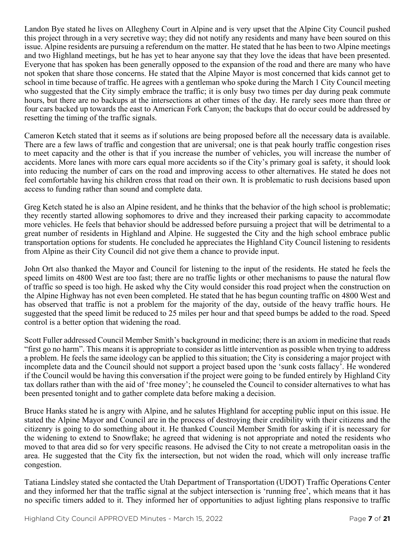Landon Bye stated he lives on Allegheny Court in Alpine and is very upset that the Alpine City Council pushed this project through in a very secretive way; they did not notify any residents and many have been soured on this issue. Alpine residents are pursuing a referendum on the matter. He stated that he has been to two Alpine meetings and two Highland meetings, but he has yet to hear anyone say that they love the ideas that have been presented. Everyone that has spoken has been generally opposed to the expansion of the road and there are many who have not spoken that share those concerns. He stated that the Alpine Mayor is most concerned that kids cannot get to school in time because of traffic. He agrees with a gentleman who spoke during the March 1 City Council meeting who suggested that the City simply embrace the traffic; it is only busy two times per day during peak commute hours, but there are no backups at the intersections at other times of the day. He rarely sees more than three or four cars backed up towards the east to American Fork Canyon; the backups that do occur could be addressed by resetting the timing of the traffic signals.

Cameron Ketch stated that it seems as if solutions are being proposed before all the necessary data is available. There are a few laws of traffic and congestion that are universal; one is that peak hourly traffic congestion rises to meet capacity and the other is that if you increase the number of vehicles, you will increase the number of accidents. More lanes with more cars equal more accidents so if the City's primary goal is safety, it should look into reducing the number of cars on the road and improving access to other alternatives. He stated he does not feel comfortable having his children cross that road on their own. It is problematic to rush decisions based upon access to funding rather than sound and complete data.

Greg Ketch stated he is also an Alpine resident, and he thinks that the behavior of the high school is problematic; they recently started allowing sophomores to drive and they increased their parking capacity to accommodate more vehicles. He feels that behavior should be addressed before pursuing a project that will be detrimental to a great number of residents in Highland and Alpine. He suggested the City and the high school embrace public transportation options for students. He concluded he appreciates the Highland City Council listening to residents from Alpine as their City Council did not give them a chance to provide input.

John Ort also thanked the Mayor and Council for listening to the input of the residents. He stated he feels the speed limits on 4800 West are too fast; there are no traffic lights or other mechanisms to pause the natural flow of traffic so speed is too high. He asked why the City would consider this road project when the construction on the Alpine Highway has not even been completed. He stated that he has begun counting traffic on 4800 West and has observed that traffic is not a problem for the majority of the day, outside of the heavy traffic hours. He suggested that the speed limit be reduced to 25 miles per hour and that speed bumps be added to the road. Speed control is a better option that widening the road.

Scott Fuller addressed Council Member Smith's background in medicine; there is an axiom in medicine that reads "first go no harm". This means it is appropriate to consider as little intervention as possible when trying to address a problem. He feels the same ideology can be applied to this situation; the City is considering a major project with incomplete data and the Council should not support a project based upon the 'sunk costs fallacy'. He wondered if the Council would be having this conversation if the project were going to be funded entirely by Highland City tax dollars rather than with the aid of 'free money'; he counseled the Council to consider alternatives to what has been presented tonight and to gather complete data before making a decision.

Bruce Hanks stated he is angry with Alpine, and he salutes Highland for accepting public input on this issue. He stated the Alpine Mayor and Council are in the process of destroying their credibility with their citizens and the citizenry is going to do something about it. He thanked Council Member Smith for asking if it is necessary for the widening to extend to Snowflake; he agreed that widening is not appropriate and noted the residents who moved to that area did so for very specific reasons. He advised the City to not create a metropolitan oasis in the area. He suggested that the City fix the intersection, but not widen the road, which will only increase traffic congestion.

Tatiana Lindsley stated she contacted the Utah Department of Transportation (UDOT) Traffic Operations Center and they informed her that the traffic signal at the subject intersection is 'running free', which means that it has no specific timers added to it. They informed her of opportunities to adjust lighting plans responsive to traffic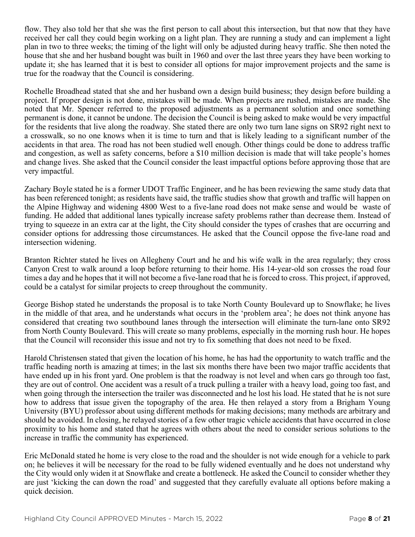flow. They also told her that she was the first person to call about this intersection, but that now that they have received her call they could begin working on a light plan. They are running a study and can implement a light plan in two to three weeks; the timing of the light will only be adjusted during heavy traffic. She then noted the house that she and her husband bought was built in 1960 and over the last three years they have been working to update it; she has learned that it is best to consider all options for major improvement projects and the same is true for the roadway that the Council is considering.

Rochelle Broadhead stated that she and her husband own a design build business; they design before building a project. If proper design is not done, mistakes will be made. When projects are rushed, mistakes are made. She noted that Mr. Spencer referred to the proposed adjustments as a permanent solution and once something permanent is done, it cannot be undone. The decision the Council is being asked to make would be very impactful for the residents that live along the roadway. She stated there are only two turn lane signs on SR92 right next to a crosswalk, so no one knows when it is time to turn and that is likely leading to a significant number of the accidents in that area. The road has not been studied well enough. Other things could be done to address traffic and congestion, as well as safety concerns, before a \$10 million decision is made that will take people's homes and change lives. She asked that the Council consider the least impactful options before approving those that are very impactful.

Zachary Boyle stated he is a former UDOT Traffic Engineer, and he has been reviewing the same study data that has been referenced tonight; as residents have said, the traffic studies show that growth and traffic will happen on the Alpine Highway and widening 4800 West to a five-lane road does not make sense and would be waste of funding. He added that additional lanes typically increase safety problems rather than decrease them. Instead of trying to squeeze in an extra car at the light, the City should consider the types of crashes that are occurring and consider options for addressing those circumstances. He asked that the Council oppose the five-lane road and intersection widening.

Branton Richter stated he lives on Allegheny Court and he and his wife walk in the area regularly; they cross Canyon Crest to walk around a loop before returning to their home. His 14-year-old son crosses the road four times a day and he hopes that it will not become a five-lane road that he is forced to cross. This project, if approved, could be a catalyst for similar projects to creep throughout the community.

George Bishop stated he understands the proposal is to take North County Boulevard up to Snowflake; he lives in the middle of that area, and he understands what occurs in the 'problem area'; he does not think anyone has considered that creating two southbound lanes through the intersection will eliminate the turn-lane onto SR92 from North County Boulevard. This will create so many problems, especially in the morning rush hour. He hopes that the Council will reconsider this issue and not try to fix something that does not need to be fixed.

Harold Christensen stated that given the location of his home, he has had the opportunity to watch traffic and the traffic heading north is amazing at times; in the last six months there have been two major traffic accidents that have ended up in his front yard. One problem is that the roadway is not level and when cars go through too fast, they are out of control. One accident was a result of a truck pulling a trailer with a heavy load, going too fast, and when going through the intersection the trailer was disconnected and he lost his load. He stated that he is not sure how to address that issue given the topography of the area. He then relayed a story from a Brigham Young University (BYU) professor about using different methods for making decisions; many methods are arbitrary and should be avoided. In closing, he relayed stories of a few other tragic vehicle accidents that have occurred in close proximity to his home and stated that he agrees with others about the need to consider serious solutions to the increase in traffic the community has experienced.

Eric McDonald stated he home is very close to the road and the shoulder is not wide enough for a vehicle to park on; he believes it will be necessary for the road to be fully widened eventually and he does not understand why the City would only widen it at Snowflake and create a bottleneck. He asked the Council to consider whether they are just 'kicking the can down the road' and suggested that they carefully evaluate all options before making a quick decision.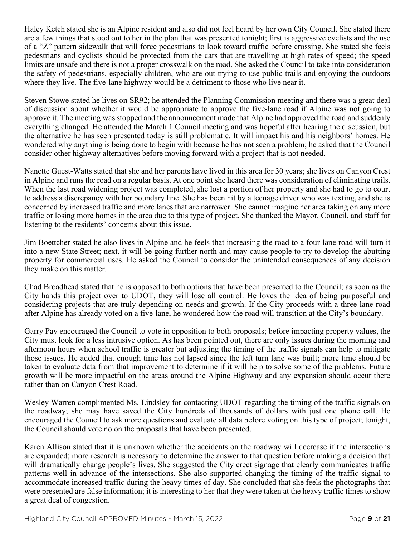Haley Ketch stated she is an Alpine resident and also did not feel heard by her own City Council. She stated there are a few things that stood out to her in the plan that was presented tonight; first is aggressive cyclists and the use of a "Z" pattern sidewalk that will force pedestrians to look toward traffic before crossing. She stated she feels pedestrians and cyclists should be protected from the cars that are travelling at high rates of speed; the speed limits are unsafe and there is not a proper crosswalk on the road. She asked the Council to take into consideration the safety of pedestrians, especially children, who are out trying to use public trails and enjoying the outdoors where they live. The five-lane highway would be a detriment to those who live near it.

Steven Stowe stated he lives on SR92; he attended the Planning Commission meeting and there was a great deal of discussion about whether it would be appropriate to approve the five-lane road if Alpine was not going to approve it. The meeting was stopped and the announcement made that Alpine had approved the road and suddenly everything changed. He attended the March 1 Council meeting and was hopeful after hearing the discussion, but the alternative he has seen presented today is still problematic. It will impact his and his neighbors' homes. He wondered why anything is being done to begin with because he has not seen a problem; he asked that the Council consider other highway alternatives before moving forward with a project that is not needed.

Nanette Guest-Watts stated that she and her parents have lived in this area for 30 years; she lives on Canyon Crest in Alpine and runs the road on a regular basis. At one point she heard there was consideration of eliminating trails. When the last road widening project was completed, she lost a portion of her property and she had to go to court to address a discrepancy with her boundary line. She has been hit by a teenage driver who was texting, and she is concerned by increased traffic and more lanes that are narrower. She cannot imagine her area taking on any more traffic or losing more homes in the area due to this type of project. She thanked the Mayor, Council, and staff for listening to the residents' concerns about this issue.

Jim Boettcher stated he also lives in Alpine and he feels that increasing the road to a four-lane road will turn it into a new State Street; next, it will be going further north and may cause people to try to develop the abutting property for commercial uses. He asked the Council to consider the unintended consequences of any decision they make on this matter.

Chad Broadhead stated that he is opposed to both options that have been presented to the Council; as soon as the City hands this project over to UDOT, they will lose all control. He loves the idea of being purposeful and considering projects that are truly depending on needs and growth. If the City proceeds with a three-lane road after Alpine has already voted on a five-lane, he wondered how the road will transition at the City's boundary.

Garry Pay encouraged the Council to vote in opposition to both proposals; before impacting property values, the City must look for a less intrusive option. As has been pointed out, there are only issues during the morning and afternoon hours when school traffic is greater but adjusting the timing of the traffic signals can help to mitigate those issues. He added that enough time has not lapsed since the left turn lane was built; more time should be taken to evaluate data from that improvement to determine if it will help to solve some of the problems. Future growth will be more impactful on the areas around the Alpine Highway and any expansion should occur there rather than on Canyon Crest Road.

Wesley Warren complimented Ms. Lindsley for contacting UDOT regarding the timing of the traffic signals on the roadway; she may have saved the City hundreds of thousands of dollars with just one phone call. He encouraged the Council to ask more questions and evaluate all data before voting on this type of project; tonight, the Council should vote no on the proposals that have been presented.

Karen Allison stated that it is unknown whether the accidents on the roadway will decrease if the intersections are expanded; more research is necessary to determine the answer to that question before making a decision that will dramatically change people's lives. She suggested the City erect signage that clearly communicates traffic patterns well in advance of the intersections. She also supported changing the timing of the traffic signal to accommodate increased traffic during the heavy times of day. She concluded that she feels the photographs that were presented are false information; it is interesting to her that they were taken at the heavy traffic times to show a great deal of congestion.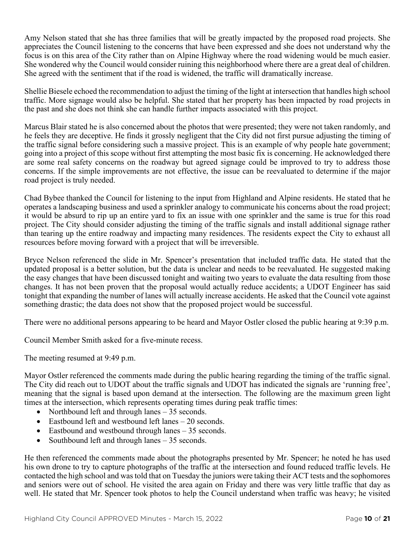Amy Nelson stated that she has three families that will be greatly impacted by the proposed road projects. She appreciates the Council listening to the concerns that have been expressed and she does not understand why the focus is on this area of the City rather than on Alpine Highway where the road widening would be much easier. She wondered why the Council would consider ruining this neighborhood where there are a great deal of children. She agreed with the sentiment that if the road is widened, the traffic will dramatically increase.

Shellie Biesele echoed the recommendation to adjust the timing of the light at intersection that handles high school traffic. More signage would also be helpful. She stated that her property has been impacted by road projects in the past and she does not think she can handle further impacts associated with this project.

Marcus Blair stated he is also concerned about the photos that were presented; they were not taken randomly, and he feels they are deceptive. He finds it grossly negligent that the City did not first pursue adjusting the timing of the traffic signal before considering such a massive project. This is an example of why people hate government; going into a project of this scope without first attempting the most basic fix is concerning. He acknowledged there are some real safety concerns on the roadway but agreed signage could be improved to try to address those concerns. If the simple improvements are not effective, the issue can be reevaluated to determine if the major road project is truly needed.

Chad Bybee thanked the Council for listening to the input from Highland and Alpine residents. He stated that he operates a landscaping business and used a sprinkler analogy to communicate his concerns about the road project; it would be absurd to rip up an entire yard to fix an issue with one sprinkler and the same is true for this road project. The City should consider adjusting the timing of the traffic signals and install additional signage rather than tearing up the entire roadway and impacting many residences. The residents expect the City to exhaust all resources before moving forward with a project that will be irreversible.

Bryce Nelson referenced the slide in Mr. Spencer's presentation that included traffic data. He stated that the updated proposal is a better solution, but the data is unclear and needs to be reevaluated. He suggested making the easy changes that have been discussed tonight and waiting two years to evaluate the data resulting from those changes. It has not been proven that the proposal would actually reduce accidents; a UDOT Engineer has said tonight that expanding the number of lanes will actually increase accidents. He asked that the Council vote against something drastic; the data does not show that the proposed project would be successful.

There were no additional persons appearing to be heard and Mayor Ostler closed the public hearing at 9:39 p.m.

Council Member Smith asked for a five-minute recess.

The meeting resumed at 9:49 p.m.

Mayor Ostler referenced the comments made during the public hearing regarding the timing of the traffic signal. The City did reach out to UDOT about the traffic signals and UDOT has indicated the signals are 'running free', meaning that the signal is based upon demand at the intersection. The following are the maximum green light times at the intersection, which represents operating times during peak traffic times:

- Northbound left and through lanes 35 seconds.
- Eastbound left and westbound left lanes 20 seconds.
- Eastbound and westbound through lanes 35 seconds.
- Southbound left and through lanes  $-35$  seconds.

He then referenced the comments made about the photographs presented by Mr. Spencer; he noted he has used his own drone to try to capture photographs of the traffic at the intersection and found reduced traffic levels. He contacted the high school and was told that on Tuesday the juniors were taking their ACT tests and the sophomores and seniors were out of school. He visited the area again on Friday and there was very little traffic that day as well. He stated that Mr. Spencer took photos to help the Council understand when traffic was heavy; he visited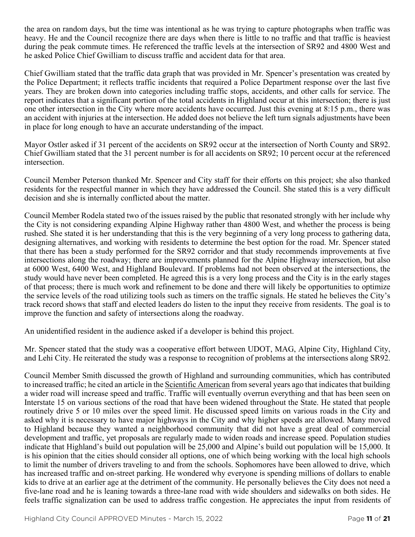the area on random days, but the time was intentional as he was trying to capture photographs when traffic was heavy. He and the Council recognize there are days when there is little to no traffic and that traffic is heaviest during the peak commute times. He referenced the traffic levels at the intersection of SR92 and 4800 West and he asked Police Chief Gwilliam to discuss traffic and accident data for that area.

Chief Gwilliam stated that the traffic data graph that was provided in Mr. Spencer's presentation was created by the Police Department; it reflects traffic incidents that required a Police Department response over the last five years. They are broken down into categories including traffic stops, accidents, and other calls for service. The report indicates that a significant portion of the total accidents in Highland occur at this intersection; there is just one other intersection in the City where more accidents have occurred. Just this evening at 8:15 p.m., there was an accident with injuries at the intersection. He added does not believe the left turn signals adjustments have been in place for long enough to have an accurate understanding of the impact.

Mayor Ostler asked if 31 percent of the accidents on SR92 occur at the intersection of North County and SR92. Chief Gwilliam stated that the 31 percent number is for all accidents on SR92; 10 percent occur at the referenced intersection.

Council Member Peterson thanked Mr. Spencer and City staff for their efforts on this project; she also thanked residents for the respectful manner in which they have addressed the Council. She stated this is a very difficult decision and she is internally conflicted about the matter.

Council Member Rodela stated two of the issues raised by the public that resonated strongly with her include why the City is not considering expanding Alpine Highway rather than 4800 West, and whether the process is being rushed. She stated it is her understanding that this is the very beginning of a very long process to gathering data, designing alternatives, and working with residents to determine the best option for the road. Mr. Spencer stated that there has been a study performed for the SR92 corridor and that study recommends improvements at five intersections along the roadway; there are improvements planned for the Alpine Highway intersection, but also at 6000 West, 6400 West, and Highland Boulevard. If problems had not been observed at the intersections, the study would have never been completed. He agreed this is a very long process and the City is in the early stages of that process; there is much work and refinement to be done and there will likely be opportunities to optimize the service levels of the road utilizing tools such as timers on the traffic signals. He stated he believes the City's track record shows that staff and elected leaders do listen to the input they receive from residents. The goal is to improve the function and safety of intersections along the roadway.

An unidentified resident in the audience asked if a developer is behind this project.

Mr. Spencer stated that the study was a cooperative effort between UDOT, MAG, Alpine City, Highland City, and Lehi City. He reiterated the study was a response to recognition of problems at the intersections along SR92.

Council Member Smith discussed the growth of Highland and surrounding communities, which has contributed to increased traffic; he cited an article in the Scientific American from several years ago that indicates that building a wider road will increase speed and traffic. Traffic will eventually overrun everything and that has been seen on Interstate 15 on various sections of the road that have been widened throughout the State. He stated that people routinely drive 5 or 10 miles over the speed limit. He discussed speed limits on various roads in the City and asked why it is necessary to have major highways in the City and why higher speeds are allowed. Many moved to Highland because they wanted a neighborhood community that did not have a great deal of commercial development and traffic, yet proposals are regularly made to widen roads and increase speed. Population studies indicate that Highland's build out population will be 25,000 and Alpine's build out population will be 15,000. It is his opinion that the cities should consider all options, one of which being working with the local high schools to limit the number of drivers traveling to and from the schools. Sophomores have been allowed to drive, which has increased traffic and on-street parking. He wondered why everyone is spending millions of dollars to enable kids to drive at an earlier age at the detriment of the community. He personally believes the City does not need a five-lane road and he is leaning towards a three-lane road with wide shoulders and sidewalks on both sides. He feels traffic signalization can be used to address traffic congestion. He appreciates the input from residents of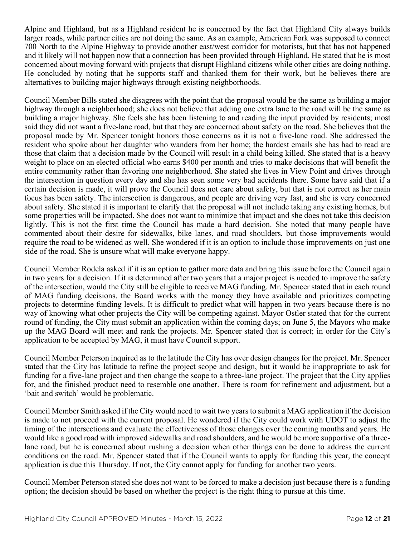Alpine and Highland, but as a Highland resident he is concerned by the fact that Highland City always builds larger roads, while partner cities are not doing the same. As an example, American Fork was supposed to connect 700 North to the Alpine Highway to provide another east/west corridor for motorists, but that has not happened and it likely will not happen now that a connection has been provided through Highland. He stated that he is most concerned about moving forward with projects that disrupt Highland citizens while other cities are doing nothing. He concluded by noting that he supports staff and thanked them for their work, but he believes there are alternatives to building major highways through existing neighborhoods.

Council Member Bills stated she disagrees with the point that the proposal would be the same as building a major highway through a neighborhood; she does not believe that adding one extra lane to the road will be the same as building a major highway. She feels she has been listening to and reading the input provided by residents; most said they did not want a five-lane road, but that they are concerned about safety on the road. She believes that the proposal made by Mr. Spencer tonight honors those concerns as it is not a five-lane road. She addressed the resident who spoke about her daughter who wanders from her home; the hardest emails she has had to read are those that claim that a decision made by the Council will result in a child being killed. She stated that is a heavy weight to place on an elected official who earns \$400 per month and tries to make decisions that will benefit the entire community rather than favoring one neighborhood. She stated she lives in View Point and drives through the intersection in question every day and she has seen some very bad accidents there. Some have said that if a certain decision is made, it will prove the Council does not care about safety, but that is not correct as her main focus has been safety. The intersection is dangerous, and people are driving very fast, and she is very concerned about safety. She stated it is important to clarify that the proposal will not include taking any existing homes, but some properties will be impacted. She does not want to minimize that impact and she does not take this decision lightly. This is not the first time the Council has made a hard decision. She noted that many people have commented about their desire for sidewalks, bike lanes, and road shoulders, but those improvements would require the road to be widened as well. She wondered if it is an option to include those improvements on just one side of the road. She is unsure what will make everyone happy.

Council Member Rodela asked if it is an option to gather more data and bring this issue before the Council again in two years for a decision. If it is determined after two years that a major project is needed to improve the safety of the intersection, would the City still be eligible to receive MAG funding. Mr. Spencer stated that in each round of MAG funding decisions, the Board works with the money they have available and prioritizes competing projects to determine funding levels. It is difficult to predict what will happen in two years because there is no way of knowing what other projects the City will be competing against. Mayor Ostler stated that for the current round of funding, the City must submit an application within the coming days; on June 5, the Mayors who make up the MAG Board will meet and rank the projects. Mr. Spencer stated that is correct; in order for the City's application to be accepted by MAG, it must have Council support.

Council Member Peterson inquired as to the latitude the City has over design changes for the project. Mr. Spencer stated that the City has latitude to refine the project scope and design, but it would be inappropriate to ask for funding for a five-lane project and then change the scope to a three-lane project. The project that the City applies for, and the finished product need to resemble one another. There is room for refinement and adjustment, but a 'bait and switch' would be problematic.

Council Member Smith asked if the City would need to wait two years to submit a MAG application if the decision is made to not proceed with the current proposal. He wondered if the City could work with UDOT to adjust the timing of the intersections and evaluate the effectiveness of those changes over the coming months and years. He would like a good road with improved sidewalks and road shoulders, and he would be more supportive of a threelane road, but he is concerned about rushing a decision when other things can be done to address the current conditions on the road. Mr. Spencer stated that if the Council wants to apply for funding this year, the concept application is due this Thursday. If not, the City cannot apply for funding for another two years.

Council Member Peterson stated she does not want to be forced to make a decision just because there is a funding option; the decision should be based on whether the project is the right thing to pursue at this time.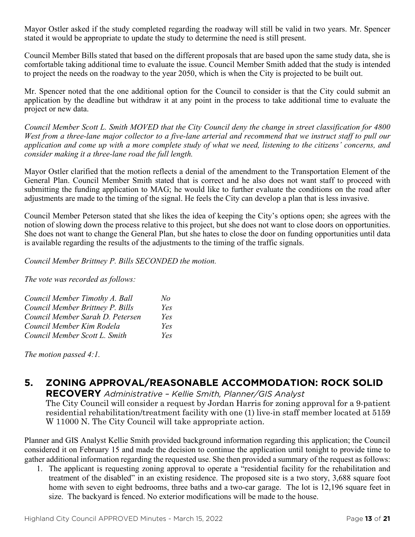Mayor Ostler asked if the study completed regarding the roadway will still be valid in two years. Mr. Spencer stated it would be appropriate to update the study to determine the need is still present.

Council Member Bills stated that based on the different proposals that are based upon the same study data, she is comfortable taking additional time to evaluate the issue. Council Member Smith added that the study is intended to project the needs on the roadway to the year 2050, which is when the City is projected to be built out.

Mr. Spencer noted that the one additional option for the Council to consider is that the City could submit an application by the deadline but withdraw it at any point in the process to take additional time to evaluate the project or new data.

*Council Member Scott L. Smith MOVED that the City Council deny the change in street classification for 4800 West from a three-lane major collector to a five-lane arterial and recommend that we instruct staff to pull our application and come up with a more complete study of what we need, listening to the citizens' concerns, and consider making it a three-lane road the full length.*

Mayor Ostler clarified that the motion reflects a denial of the amendment to the Transportation Element of the General Plan. Council Member Smith stated that is correct and he also does not want staff to proceed with submitting the funding application to MAG; he would like to further evaluate the conditions on the road after adjustments are made to the timing of the signal. He feels the City can develop a plan that is less invasive.

Council Member Peterson stated that she likes the idea of keeping the City's options open; she agrees with the notion of slowing down the process relative to this project, but she does not want to close doors on opportunities. She does not want to change the General Plan, but she hates to close the door on funding opportunities until data is available regarding the results of the adjustments to the timing of the traffic signals.

*Council Member Brittney P. Bills SECONDED the motion.*

*The vote was recorded as follows:*

| Council Member Timothy A. Ball   | No  |
|----------------------------------|-----|
| Council Member Brittney P. Bills | Yes |
| Council Member Sarah D. Petersen | Yes |
| Council Member Kim Rodela        | Yes |
| Council Member Scott L. Smith    | Yes |

*The motion passed 4:1.* 

## **5. ZONING APPROVAL/REASONABLE ACCOMMODATION: ROCK SOLID**

**RECOVERY** *Administrative – Kellie Smith, Planner/GIS Analyst* The City Council will consider a request by Jordan Harris for zoning approval for a 9-patient residential rehabilitation/treatment facility with one (1) live-in staff member located at 5159 W 11000 N. The City Council will take appropriate action.

Planner and GIS Analyst Kellie Smith provided background information regarding this application; the Council considered it on February 15 and made the decision to continue the application until tonight to provide time to gather additional information regarding the requested use. She then provided a summary of the request as follows:

1. The applicant is requesting zoning approval to operate a "residential facility for the rehabilitation and treatment of the disabled" in an existing residence. The proposed site is a two story, 3,688 square foot home with seven to eight bedrooms, three baths and a two-car garage. The lot is 12,196 square feet in size. The backyard is fenced. No exterior modifications will be made to the house.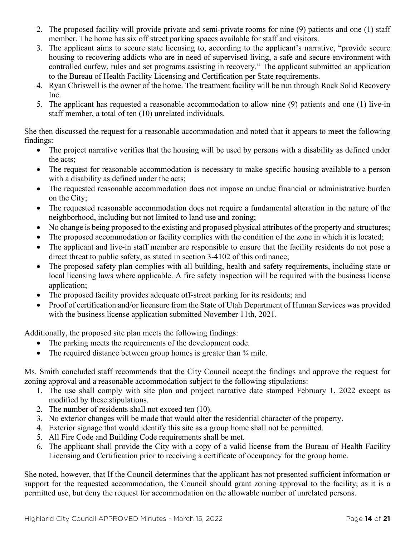- 2. The proposed facility will provide private and semi-private rooms for nine (9) patients and one (1) staff member. The home has six off street parking spaces available for staff and visitors.
- 3. The applicant aims to secure state licensing to, according to the applicant's narrative, "provide secure housing to recovering addicts who are in need of supervised living, a safe and secure environment with controlled curfew, rules and set programs assisting in recovery." The applicant submitted an application to the Bureau of Health Facility Licensing and Certification per State requirements.
- 4. Ryan Chriswell is the owner of the home. The treatment facility will be run through Rock Solid Recovery Inc.
- 5. The applicant has requested a reasonable accommodation to allow nine (9) patients and one (1) live-in staff member, a total of ten (10) unrelated individuals.

She then discussed the request for a reasonable accommodation and noted that it appears to meet the following findings:

- The project narrative verifies that the housing will be used by persons with a disability as defined under the acts;
- The request for reasonable accommodation is necessary to make specific housing available to a person with a disability as defined under the acts;
- The requested reasonable accommodation does not impose an undue financial or administrative burden on the City;
- The requested reasonable accommodation does not require a fundamental alteration in the nature of the neighborhood, including but not limited to land use and zoning;
- No change is being proposed to the existing and proposed physical attributes of the property and structures;
- The proposed accommodation or facility complies with the condition of the zone in which it is located;
- The applicant and live-in staff member are responsible to ensure that the facility residents do not pose a direct threat to public safety, as stated in section 3-4102 of this ordinance;
- The proposed safety plan complies with all building, health and safety requirements, including state or local licensing laws where applicable. A fire safety inspection will be required with the business license application;
- The proposed facility provides adequate off-street parking for its residents; and
- Proof of certification and/or licensure from the State of Utah Department of Human Services was provided with the business license application submitted November 11th, 2021.

Additionally, the proposed site plan meets the following findings:

- The parking meets the requirements of the development code.
- The required distance between group homes is greater than  $\frac{3}{4}$  mile.

Ms. Smith concluded staff recommends that the City Council accept the findings and approve the request for zoning approval and a reasonable accommodation subject to the following stipulations:

- 1. The use shall comply with site plan and project narrative date stamped February 1, 2022 except as modified by these stipulations.
- 2. The number of residents shall not exceed ten (10).
- 3. No exterior changes will be made that would alter the residential character of the property.
- 4. Exterior signage that would identify this site as a group home shall not be permitted.
- 5. All Fire Code and Building Code requirements shall be met.
- 6. The applicant shall provide the City with a copy of a valid license from the Bureau of Health Facility Licensing and Certification prior to receiving a certificate of occupancy for the group home.

She noted, however, that If the Council determines that the applicant has not presented sufficient information or support for the requested accommodation, the Council should grant zoning approval to the facility, as it is a permitted use, but deny the request for accommodation on the allowable number of unrelated persons.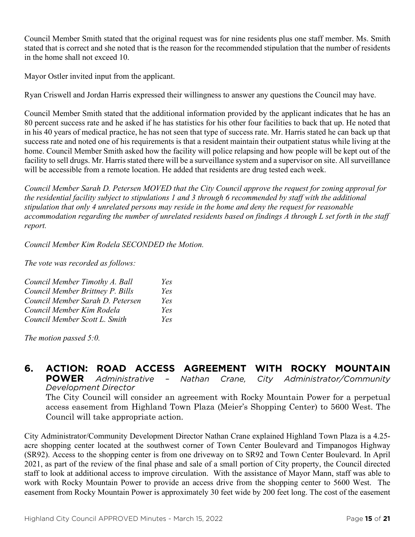Council Member Smith stated that the original request was for nine residents plus one staff member. Ms. Smith stated that is correct and she noted that is the reason for the recommended stipulation that the number of residents in the home shall not exceed 10.

Mayor Ostler invited input from the applicant.

Ryan Criswell and Jordan Harris expressed their willingness to answer any questions the Council may have.

Council Member Smith stated that the additional information provided by the applicant indicates that he has an 80 percent success rate and he asked if he has statistics for his other four facilities to back that up. He noted that in his 40 years of medical practice, he has not seen that type of success rate. Mr. Harris stated he can back up that success rate and noted one of his requirements is that a resident maintain their outpatient status while living at the home. Council Member Smith asked how the facility will police relapsing and how people will be kept out of the facility to sell drugs. Mr. Harris stated there will be a surveillance system and a supervisor on site. All surveillance will be accessible from a remote location. He added that residents are drug tested each week.

*Council Member Sarah D. Petersen MOVED that the City Council approve the request for zoning approval for the residential facility subject to stipulations 1 and 3 through 6 recommended by staff with the additional stipulation that only 4 unrelated persons may reside in the home and deny the request for reasonable accommodation regarding the number of unrelated residents based on findings A through L set forth in the staff report.*

*Council Member Kim Rodela SECONDED the Motion.*

*The vote was recorded as follows:*

| Council Member Timothy A. Ball   | Yes |
|----------------------------------|-----|
| Council Member Brittney P. Bills | Yes |
| Council Member Sarah D. Petersen | Yes |
| Council Member Kim Rodela        | Yes |
| Council Member Scott L. Smith    | Yes |

*The motion passed 5:0.* 

#### **6. ACTION: ROAD ACCESS AGREEMENT WITH ROCKY MOUNTAIN POWER** *Administrative – Nathan Crane, City Administrator/Community Development Director* The City Council will consider an agreement with Rocky Mountain Power for a perpetual

access easement from Highland Town Plaza (Meier's Shopping Center) to 5600 West. The Council will take appropriate action.

City Administrator/Community Development Director Nathan Crane explained Highland Town Plaza is a 4.25 acre shopping center located at the southwest corner of Town Center Boulevard and Timpanogos Highway (SR92). Access to the shopping center is from one driveway on to SR92 and Town Center Boulevard. In April 2021, as part of the review of the final phase and sale of a small portion of City property, the Council directed staff to look at additional access to improve circulation. With the assistance of Mayor Mann, staff was able to work with Rocky Mountain Power to provide an access drive from the shopping center to 5600 West. The easement from Rocky Mountain Power is approximately 30 feet wide by 200 feet long. The cost of the easement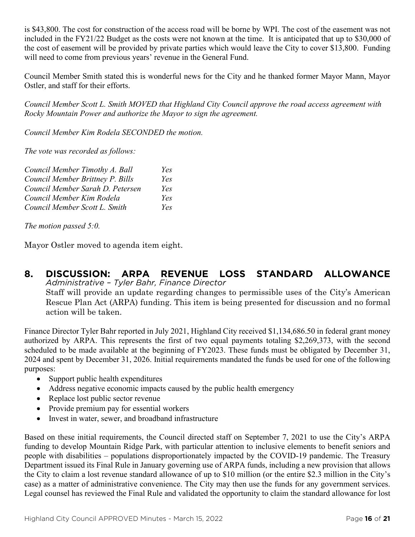is \$43,800. The cost for construction of the access road will be borne by WPI. The cost of the easement was not included in the FY21/22 Budget as the costs were not known at the time. It is anticipated that up to \$30,000 of the cost of easement will be provided by private parties which would leave the City to cover \$13,800. Funding will need to come from previous years' revenue in the General Fund.

Council Member Smith stated this is wonderful news for the City and he thanked former Mayor Mann, Mayor Ostler, and staff for their efforts.

*Council Member Scott L. Smith MOVED that Highland City Council approve the road access agreement with Rocky Mountain Power and authorize the Mayor to sign the agreement.*

*Council Member Kim Rodela SECONDED the motion.*

*The vote was recorded as follows:*

| Council Member Timothy A. Ball   | Yes |
|----------------------------------|-----|
| Council Member Brittney P. Bills | Yes |
| Council Member Sarah D. Petersen | Yes |
| Council Member Kim Rodela        | Yes |
| Council Member Scott L. Smith    | Yes |

*The motion passed 5:0.* 

Mayor Ostler moved to agenda item eight.

# **8. DISCUSSION: ARPA REVENUE LOSS STANDARD ALLOWANCE** *Administrative – Tyler Bahr, Finance Director*

Staff will provide an update regarding changes to permissible uses of the City's American Rescue Plan Act (ARPA) funding. This item is being presented for discussion and no formal action will be taken.

Finance Director Tyler Bahr reported in July 2021, Highland City received \$1,134,686.50 in federal grant money authorized by ARPA. This represents the first of two equal payments totaling \$2,269,373, with the second scheduled to be made available at the beginning of FY2023. These funds must be obligated by December 31, 2024 and spent by December 31, 2026. Initial requirements mandated the funds be used for one of the following purposes:

- Support public health expenditures
- Address negative economic impacts caused by the public health emergency
- Replace lost public sector revenue
- Provide premium pay for essential workers
- Invest in water, sewer, and broadband infrastructure

Based on these initial requirements, the Council directed staff on September 7, 2021 to use the City's ARPA funding to develop Mountain Ridge Park, with particular attention to inclusive elements to benefit seniors and people with disabilities – populations disproportionately impacted by the COVID-19 pandemic. The Treasury Department issued its Final Rule in January governing use of ARPA funds, including a new provision that allows the City to claim a lost revenue standard allowance of up to \$10 million (or the entire \$2.3 million in the City's case) as a matter of administrative convenience. The City may then use the funds for any government services. Legal counsel has reviewed the Final Rule and validated the opportunity to claim the standard allowance for lost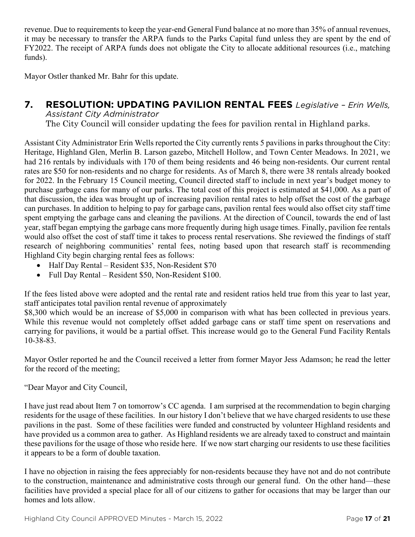revenue. Due to requirements to keep the year-end General Fund balance at no more than 35% of annual revenues, it may be necessary to transfer the ARPA funds to the Parks Capital fund unless they are spent by the end of FY2022. The receipt of ARPA funds does not obligate the City to allocate additional resources (i.e., matching funds).

Mayor Ostler thanked Mr. Bahr for this update.

# **7. RESOLUTION: UPDATING PAVILION RENTAL FEES** *Legislative – Erin Wells,*

*Assistant City Administrator*

The City Council will consider updating the fees for pavilion rental in Highland parks.

Assistant City Administrator Erin Wells reported the City currently rents 5 pavilions in parks throughout the City: Heritage, Highland Glen, Merlin B. Larson gazebo, Mitchell Hollow, and Town Center Meadows. In 2021, we had 216 rentals by individuals with 170 of them being residents and 46 being non-residents. Our current rental rates are \$50 for non-residents and no charge for residents. As of March 8, there were 38 rentals already booked for 2022. In the February 15 Council meeting, Council directed staff to include in next year's budget money to purchase garbage cans for many of our parks. The total cost of this project is estimated at \$41,000. As a part of that discussion, the idea was brought up of increasing pavilion rental rates to help offset the cost of the garbage can purchases. In addition to helping to pay for garbage cans, pavilion rental fees would also offset city staff time spent emptying the garbage cans and cleaning the pavilions. At the direction of Council, towards the end of last year, staff began emptying the garbage cans more frequently during high usage times. Finally, pavilion fee rentals would also offset the cost of staff time it takes to process rental reservations. She reviewed the findings of staff research of neighboring communities' rental fees, noting based upon that research staff is recommending Highland City begin charging rental fees as follows:

- Half Day Rental Resident \$35, Non-Resident \$70
- Full Day Rental Resident \$50, Non-Resident \$100.

If the fees listed above were adopted and the rental rate and resident ratios held true from this year to last year, staff anticipates total pavilion rental revenue of approximately

\$8,300 which would be an increase of \$5,000 in comparison with what has been collected in previous years. While this revenue would not completely offset added garbage cans or staff time spent on reservations and carrying for pavilions, it would be a partial offset. This increase would go to the General Fund Facility Rentals 10-38-83.

Mayor Ostler reported he and the Council received a letter from former Mayor Jess Adamson; he read the letter for the record of the meeting;

"Dear Mayor and City Council,

I have just read about Item 7 on tomorrow's CC agenda. I am surprised at the recommendation to begin charging residents for the usage of these facilities. In our history I don't believe that we have charged residents to use these pavilions in the past. Some of these facilities were funded and constructed by volunteer Highland residents and have provided us a common area to gather. As Highland residents we are already taxed to construct and maintain these pavilions for the usage of those who reside here. If we now start charging our residents to use these facilities it appears to be a form of double taxation.

I have no objection in raising the fees appreciably for non-residents because they have not and do not contribute to the construction, maintenance and administrative costs through our general fund. On the other hand—these facilities have provided a special place for all of our citizens to gather for occasions that may be larger than our homes and lots allow.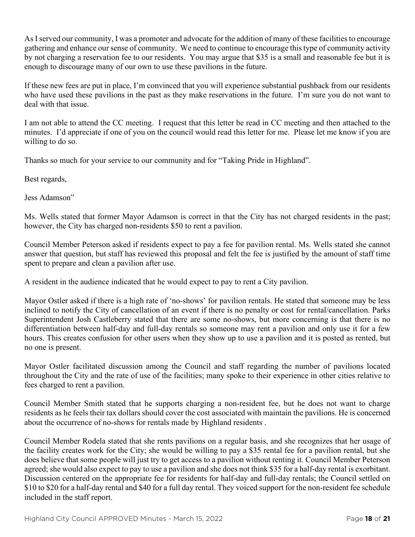As I served our community, I was a promoter and advocate for the addition of many of these facilities to encourage gathering and enhance our sense of community. We need to continue to encourage this type of community activity by not charging a reservation fee to our residents. You may argue that \$35 is a small and reasonable fee but it is enough to discourage many of our own to use these pavilions in the future.

If these new fees are put in place, I'm convinced that you will experience substantial pushback from our residents who have used these pavilions in the past as they make reservations in the future. I'm sure you do not want to deal with that issue.

I am not able to attend the CC meeting. I request that this letter be read in CC meeting and then attached to the minutes. I'd appreciate if one of you on the council would read this letter for me. Please let me know if you are willing to do so.

Thanks so much for your service to our community and for "Taking Pride in Highland".

Best regards,

Jess Adamson"

Ms. Wells stated that former Mayor Adamson is correct in that the City has not charged residents in the past; however, the City has charged non-residents \$50 to rent a pavilion.

Council Member Peterson asked if residents expect to pay a fee for pavilion rental. Ms. Wells stated she cannot answer that question, but staff has reviewed this proposal and felt the fee is justified by the amount of staff time spent to prepare and clean a pavilion after use.

A resident in the audience indicated that he would expect to pay to rent a City pavilion.

Mayor Ostler asked if there is a high rate of 'no-shows' for pavilion rentals. He stated that someone may be less inclined to notify the City of cancellation of an event if there is no penalty or cost for rental/cancellation. Parks Superintendent Josh Castleberry stated that there are some no-shows, but more concerning is that there is no differentiation between half-day and full-day rentals so someone may rent a pavilion and only use it for a few hours. This creates confusion for other users when they show up to use a pavilion and it is posted as rented, but no one is present.

Mayor Ostler facilitated discussion among the Council and staff regarding the number of pavilions located throughout the City and the rate of use of the facilities; many spoke to their experience in other cities relative to fees charged to rent a pavilion.

Council Member Smith stated that he supports charging a non-resident fee, but he does not want to charge residents as he feels their tax dollars should cover the cost associated with maintain the pavilions. He is concerned about the occurrence of no-shows for rentals made by Highland residents .

Council Member Rodela stated that she rents pavilions on a regular basis, and she recognizes that her usage of the facility creates work for the City; she would be willing to pay a \$35 rental fee for a pavilion rental, but she does believe that some people will just try to get access to a pavilion without renting it. Council Member Peterson agreed; she would also expect to pay to use a pavilion and she does not think \$35 for a half-day rental is exorbitant. Discussion centered on the appropriate fee for residents for half-day and full-day rentals; the Council settled on \$10 to \$20 for a half-day rental and \$40 for a full day rental. They voiced support for the non-resident fee schedule included in the staff report.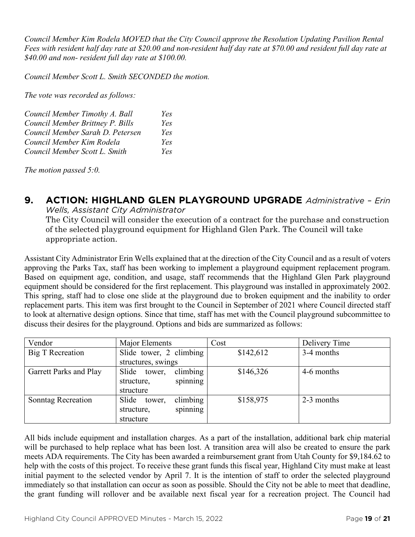*Council Member Kim Rodela MOVED that the City Council approve the Resolution Updating Pavilion Rental Fees with resident half day rate at \$20.00 and non-resident half day rate at \$70.00 and resident full day rate at \$40.00 and non- resident full day rate at \$100.00.*

*Council Member Scott L. Smith SECONDED the motion.*

*The vote was recorded as follows:*

| Council Member Timothy A. Ball   | Yes |
|----------------------------------|-----|
| Council Member Brittney P. Bills | Yes |
| Council Member Sarah D. Petersen | Yes |
| Council Member Kim Rodela        | Yes |
| Council Member Scott L. Smith    | Yes |

*The motion passed 5:0.* 

## **9. ACTION: HIGHLAND GLEN PLAYGROUND UPGRADE** *Administrative – Erin*

*Wells, Assistant City Administrator* The City Council will consider the execution of a contract for the purchase and construction of the selected playground equipment for Highland Glen Park. The Council will take appropriate action.

Assistant City Administrator Erin Wells explained that at the direction of the City Council and as a result of voters approving the Parks Tax, staff has been working to implement a playground equipment replacement program. Based on equipment age, condition, and usage, staff recommends that the Highland Glen Park playground equipment should be considered for the first replacement. This playground was installed in approximately 2002. This spring, staff had to close one slide at the playground due to broken equipment and the inability to order replacement parts. This item was first brought to the Council in September of 2021 where Council directed staff to look at alternative design options. Since that time, staff has met with the Council playground subcommittee to discuss their desires for the playground. Options and bids are summarized as follows:

| Vendor                  | Major Elements              | Cost      | Delivery Time |
|-------------------------|-----------------------------|-----------|---------------|
| <b>Big T Recreation</b> | Slide tower, 2 climbing     | \$142,612 | 3-4 months    |
|                         | structures, swings          |           |               |
| Garrett Parks and Play  | climbing<br>Slide tower,    | \$146,326 | 4-6 months    |
|                         | spinning<br>structure,      |           |               |
|                         | structure                   |           |               |
| Sonntag Recreation      | climbing<br>Slide<br>tower, | \$158,975 | 2-3 months    |
|                         | spinning<br>structure,      |           |               |
|                         | structure                   |           |               |

All bids include equipment and installation charges. As a part of the installation, additional bark chip material will be purchased to help replace what has been lost. A transition area will also be created to ensure the park meets ADA requirements. The City has been awarded a reimbursement grant from Utah County for \$9,184.62 to help with the costs of this project. To receive these grant funds this fiscal year, Highland City must make at least initial payment to the selected vendor by April 7. It is the intention of staff to order the selected playground immediately so that installation can occur as soon as possible. Should the City not be able to meet that deadline, the grant funding will rollover and be available next fiscal year for a recreation project. The Council had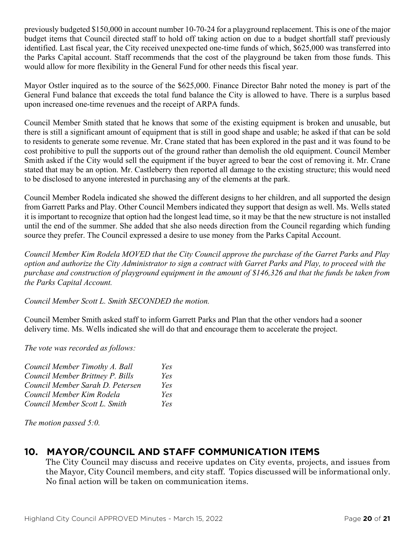previously budgeted \$150,000 in account number 10-70-24 for a playground replacement. This is one of the major budget items that Council directed staff to hold off taking action on due to a budget shortfall staff previously identified. Last fiscal year, the City received unexpected one-time funds of which, \$625,000 was transferred into the Parks Capital account. Staff recommends that the cost of the playground be taken from those funds. This would allow for more flexibility in the General Fund for other needs this fiscal year.

Mayor Ostler inquired as to the source of the \$625,000. Finance Director Bahr noted the money is part of the General Fund balance that exceeds the total fund balance the City is allowed to have. There is a surplus based upon increased one-time revenues and the receipt of ARPA funds.

Council Member Smith stated that he knows that some of the existing equipment is broken and unusable, but there is still a significant amount of equipment that is still in good shape and usable; he asked if that can be sold to residents to generate some revenue. Mr. Crane stated that has been explored in the past and it was found to be cost prohibitive to pull the supports out of the ground rather than demolish the old equipment. Council Member Smith asked if the City would sell the equipment if the buyer agreed to bear the cost of removing it. Mr. Crane stated that may be an option. Mr. Castleberry then reported all damage to the existing structure; this would need to be disclosed to anyone interested in purchasing any of the elements at the park.

Council Member Rodela indicated she showed the different designs to her children, and all supported the design from Garrett Parks and Play. Other Council Members indicated they support that design as well. Ms. Wells stated it is important to recognize that option had the longest lead time, so it may be that the new structure is not installed until the end of the summer. She added that she also needs direction from the Council regarding which funding source they prefer. The Council expressed a desire to use money from the Parks Capital Account.

*Council Member Kim Rodela MOVED that the City Council approve the purchase of the Garret Parks and Play option and authorize the City Administrator to sign a contract with Garret Parks and Play, to proceed with the purchase and construction of playground equipment in the amount of \$146,326 and that the funds be taken from the Parks Capital Account.*

*Council Member Scott L. Smith SECONDED the motion.*

Council Member Smith asked staff to inform Garrett Parks and Plan that the other vendors had a sooner delivery time. Ms. Wells indicated she will do that and encourage them to accelerate the project.

*The vote was recorded as follows:*

| Council Member Timothy A. Ball   | Yes  |
|----------------------------------|------|
| Council Member Brittney P. Bills | Yes  |
| Council Member Sarah D. Petersen | Yes  |
| Council Member Kim Rodela        | Yes  |
| Council Member Scott L. Smith    | Yes. |

*The motion passed 5:0.* 

## **10. MAYOR/COUNCIL AND STAFF COMMUNICATION ITEMS**

The City Council may discuss and receive updates on City events, projects, and issues from the Mayor, City Council members, and city staff. Topics discussed will be informational only. No final action will be taken on communication items.